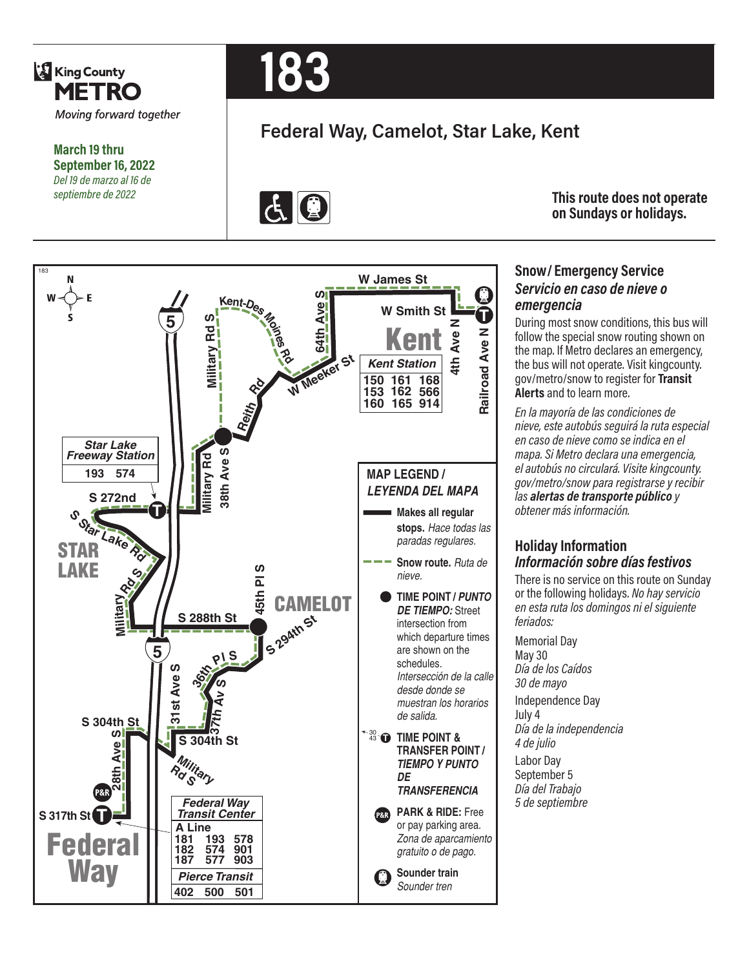

**March 19 thru September 16, 2022** *Del 19 de marzo al 16 de septiembre de 2022*



# **Federal Way, Camelot, Star Lake, Kent**



**This route does not operate on Sundays or holidays.**

#### 183 **W James St**  $\omega$ <sup> $\overline{\omega}$ </sup> **<sup>K</sup>ent-De<sup>s</sup> <sup>M</sup>o<sup>i</sup><sup>n</sup>es** CAMELOT **Ave W Smith St T 5 <sup>S</sup> d R yr atili MN** <u>Kent</u> **4th Ave N Railroad Ave W Meeker St Rd** *Kent Station* **150 161 168 Rd 153 162 566 160 165 914 Reith** *Star Lake* **Sath Ave S** *Freeway Station* ilitary Rd **Military Rd 38th Ave MAP LEGEND / 574 193** *LEYENDA DEL MAPA* **S 272nd T Makes all regular**   $\sigma_{\Omega_{\rm f}}$ **stops.** *Hace todas las paradas regulares.* STAR **Snow route.** *Ruta de*  LAKE 00 **Rd S** *nieve.* **45th Pl TIME POINT /** *PUNTO*  **ry IS 294th St** *DE TIEMPO:* Street **Milita S 288th St** intersection from which departure times are shown on the **5 36t<sup>h</sup> <sup>P</sup><sup>l</sup> <sup>S</sup>** schedules. **S***Intersección de la calle*  31st Ave  $\boldsymbol{\omega}$ *desde donde se*  **Av** *muestran los horarios*  **37th**  *de salida.* **S 304th St**  $\Omega$ 30 43 **T TIME POINT & S 304th St 31st Ave h Ave TRANSFER POINT / Military** *TIEMPO Y PUNTO DE*  **28t** *TRANSFERENCIA Federal Way Transit Center* **PARK & RIDE:** Free **S 317th St T P&R** or pay parking area. **A Line** Federal *Zona de aparcamiento*  **181 193 578 182 574 901** *gratuito o de pago.* **903 577 187 Way Sounder train**  *Pierce Transit Sounder tren* **402 500 501**

#### **Snow/ Emergency Service**  *Servicio en caso de nieve o emergencia*

During most snow conditions, this bus will follow the special snow routing shown on the map. If Metro declares an emergency, the bus will not operate. Visit kingcounty. gov/metro/snow to register for **Transit Alerts** and to learn more.

*En la mayoría de las condiciones de nieve, este autobús seguirá la ruta especial en caso de nieve como se indica en el mapa. Si Metro declara una emergencia, el autobús no circulará. Visite kingcounty. gov/metro/snow para registrarse y recibir las alertas de transporte público y obtener más información.*

#### **Holiday Information** *Información sobre días festivos*

There is no service on this route on Sunday or the following holidays. *No hay servicio en esta ruta los domingos ni el siguiente feriados:*

Memorial Day May 30 *Día de los Caídos 30 de mayo* Independence Day July 4 *Día de la independencia 4 de julio* Labor Day September 5 *Día del Trabajo 5 de septiembre*